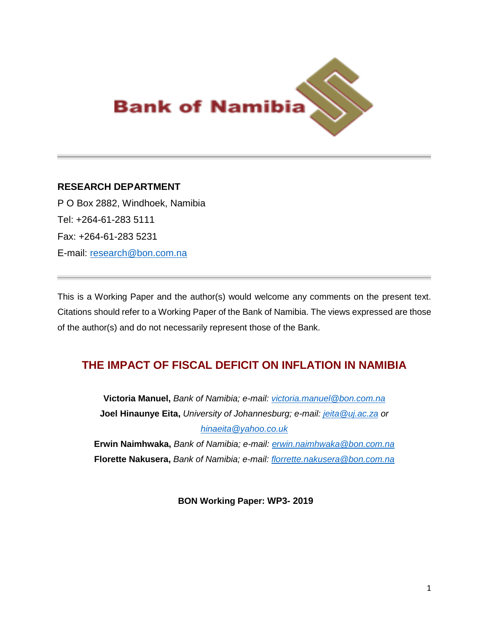

# **RESEARCH DEPARTMENT**

P O Box 2882, Windhoek, Namibia Tel: +264-61-283 5111 Fax: +264-61-283 5231 E-mail: [research@bon.com.na](mailto:research@bon.com.na)

This is a Working Paper and the author(s) would welcome any comments on the present text. Citations should refer to a Working Paper of the Bank of Namibia. The views expressed are those of the author(s) and do not necessarily represent those of the Bank.

# **THE IMPACT OF FISCAL DEFICIT ON INFLATION IN NAMIBIA**

**Victoria Manuel,** *Bank of Namibia; e-mail: [victoria.manuel@bon.com.na](mailto:victoria.manuel@bon.com.na)* **Joel Hinaunye Eita,** *University of Johannesburg; e-mail: [jeita@uj.ac.za](mailto:jeita@uj.ac.za) or [hinaeita@yahoo.co.uk](mailto:hinaeita@yahoo.co.uk)*

**Erwin Naimhwaka,** *Bank of Namibia; e-mail: [erwin.naimhwaka@bon.com.na](mailto:erwin.naimhwaka@bon.com.na)* **Florette Nakusera,** *Bank of Namibia; e-mail: [florrette.nakusera@bon.com.na](mailto:florrette.nakusera@bon.com.na)*

**BON Working Paper: WP3- 2019**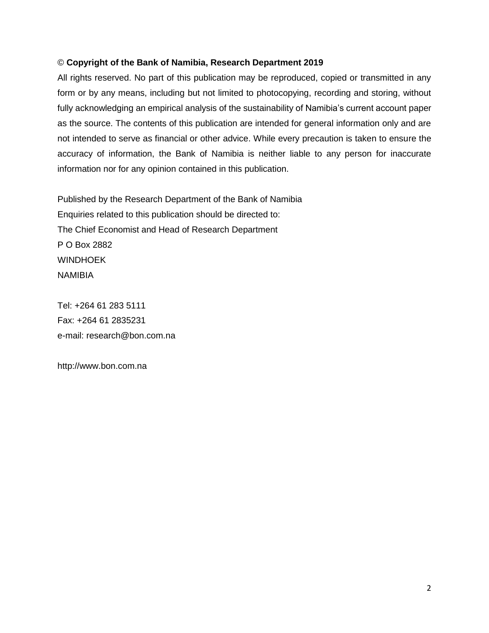#### © **Copyright of the Bank of Namibia, Research Department 2019**

All rights reserved. No part of this publication may be reproduced, copied or transmitted in any form or by any means, including but not limited to photocopying, recording and storing, without fully acknowledging an empirical analysis of the sustainability of Namibia's current account paper as the source. The contents of this publication are intended for general information only and are not intended to serve as financial or other advice. While every precaution is taken to ensure the accuracy of information, the Bank of Namibia is neither liable to any person for inaccurate information nor for any opinion contained in this publication.

Published by the Research Department of the Bank of Namibia Enquiries related to this publication should be directed to: The Chief Economist and Head of Research Department P O Box 2882 WINDHOEK NAMIBIA

Tel: +264 61 283 5111 Fax: +264 61 2835231 e-mail: [research@bon.com.na](mailto:research@bon.com.na)

http://www.bon.com.na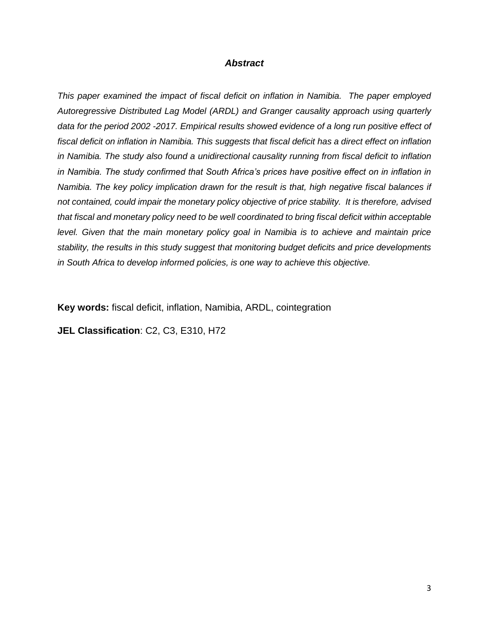#### *Abstract*

*This paper examined the impact of fiscal deficit on inflation in Namibia. The paper employed Autoregressive Distributed Lag Model (ARDL) and Granger causality approach using quarterly data for the period 2002 -2017. Empirical results showed evidence of a long run positive effect of fiscal deficit on inflation in Namibia. This suggests that fiscal deficit has a direct effect on inflation in Namibia. The study also found a unidirectional causality running from fiscal deficit to inflation*  in Namibia. The study confirmed that South Africa's prices have positive effect on in inflation in *Namibia. The key policy implication drawn for the result is that, high negative fiscal balances if not contained, could impair the monetary policy objective of price stability. It is therefore, advised that fiscal and monetary policy need to be well coordinated to bring fiscal deficit within acceptable*  level. Given that the main monetary policy goal in Namibia is to achieve and maintain price *stability, the results in this study suggest that monitoring budget deficits and price developments in South Africa to develop informed policies, is one way to achieve this objective.*

**Key words:** fiscal deficit, inflation, Namibia, ARDL, cointegration

**JEL Classification**: C2, C3, E310, H72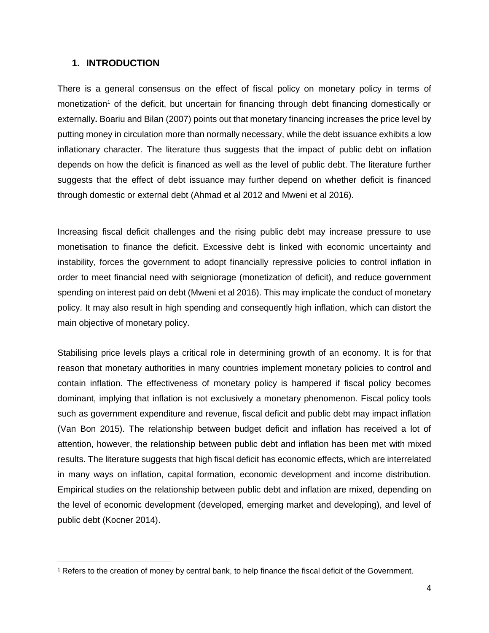## **1. INTRODUCTION**

 $\overline{\phantom{a}}$ 

There is a general consensus on the effect of fiscal policy on monetary policy in terms of monetization<sup>1</sup> of the deficit, but uncertain for financing through debt financing domestically or externally**.** Boariu and Bilan (2007) points out that monetary financing increases the price level by putting money in circulation more than normally necessary, while the debt issuance exhibits a low inflationary character. The literature thus suggests that the impact of public debt on inflation depends on how the deficit is financed as well as the level of public debt. The literature further suggests that the effect of debt issuance may further depend on whether deficit is financed through domestic or external debt (Ahmad et al 2012 and Mweni et al 2016).

Increasing fiscal deficit challenges and the rising public debt may increase pressure to use monetisation to finance the deficit. Excessive debt is linked with economic uncertainty and instability, forces the government to adopt financially repressive policies to control inflation in order to meet financial need with seigniorage (monetization of deficit), and reduce government spending on interest paid on debt (Mweni et al 2016). This may implicate the conduct of monetary policy. It may also result in high spending and consequently high inflation, which can distort the main objective of monetary policy.

Stabilising price levels plays a critical role in determining growth of an economy. It is for that reason that monetary authorities in many countries implement monetary policies to control and contain inflation. The effectiveness of monetary policy is hampered if fiscal policy becomes dominant, implying that inflation is not exclusively a monetary phenomenon. Fiscal policy tools such as government expenditure and revenue, fiscal deficit and public debt may impact inflation (Van Bon 2015). The relationship between budget deficit and inflation has received a lot of attention, however, the relationship between public debt and inflation has been met with mixed results. The literature suggests that high fiscal deficit has economic effects, which are interrelated in many ways on inflation, capital formation, economic development and income distribution. Empirical studies on the relationship between public debt and inflation are mixed, depending on the level of economic development (developed, emerging market and developing), and level of public debt (Kocner 2014).

<sup>1</sup> Refers to the creation of money by central bank, to help finance the fiscal deficit of the Government.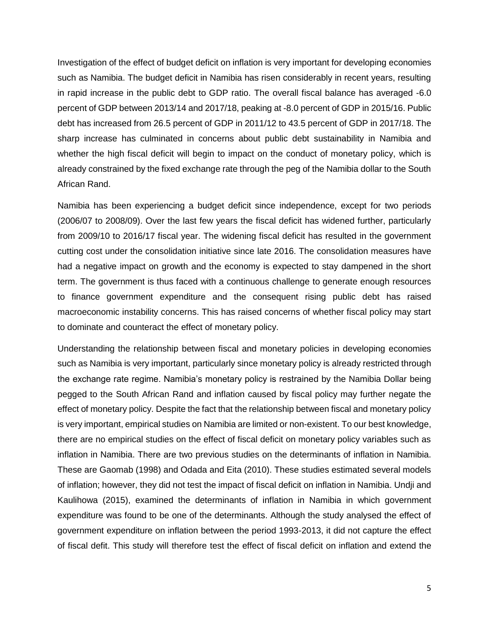Investigation of the effect of budget deficit on inflation is very important for developing economies such as Namibia. The budget deficit in Namibia has risen considerably in recent years, resulting in rapid increase in the public debt to GDP ratio. The overall fiscal balance has averaged -6.0 percent of GDP between 2013/14 and 2017/18, peaking at -8.0 percent of GDP in 2015/16. Public debt has increased from 26.5 percent of GDP in 2011/12 to 43.5 percent of GDP in 2017/18. The sharp increase has culminated in concerns about public debt sustainability in Namibia and whether the high fiscal deficit will begin to impact on the conduct of monetary policy, which is already constrained by the fixed exchange rate through the peg of the Namibia dollar to the South African Rand.

Namibia has been experiencing a budget deficit since independence, except for two periods (2006/07 to 2008/09). Over the last few years the fiscal deficit has widened further, particularly from 2009/10 to 2016/17 fiscal year. The widening fiscal deficit has resulted in the government cutting cost under the consolidation initiative since late 2016. The consolidation measures have had a negative impact on growth and the economy is expected to stay dampened in the short term. The government is thus faced with a continuous challenge to generate enough resources to finance government expenditure and the consequent rising public debt has raised macroeconomic instability concerns. This has raised concerns of whether fiscal policy may start to dominate and counteract the effect of monetary policy.

Understanding the relationship between fiscal and monetary policies in developing economies such as Namibia is very important, particularly since monetary policy is already restricted through the exchange rate regime. Namibia's monetary policy is restrained by the Namibia Dollar being pegged to the South African Rand and inflation caused by fiscal policy may further negate the effect of monetary policy. Despite the fact that the relationship between fiscal and monetary policy is very important, empirical studies on Namibia are limited or non-existent. To our best knowledge, there are no empirical studies on the effect of fiscal deficit on monetary policy variables such as inflation in Namibia. There are two previous studies on the determinants of inflation in Namibia. These are Gaomab (1998) and Odada and Eita (2010). These studies estimated several models of inflation; however, they did not test the impact of fiscal deficit on inflation in Namibia. Undji and Kaulihowa (2015), examined the determinants of inflation in Namibia in which government expenditure was found to be one of the determinants. Although the study analysed the effect of government expenditure on inflation between the period 1993-2013, it did not capture the effect of fiscal defit. This study will therefore test the effect of fiscal deficit on inflation and extend the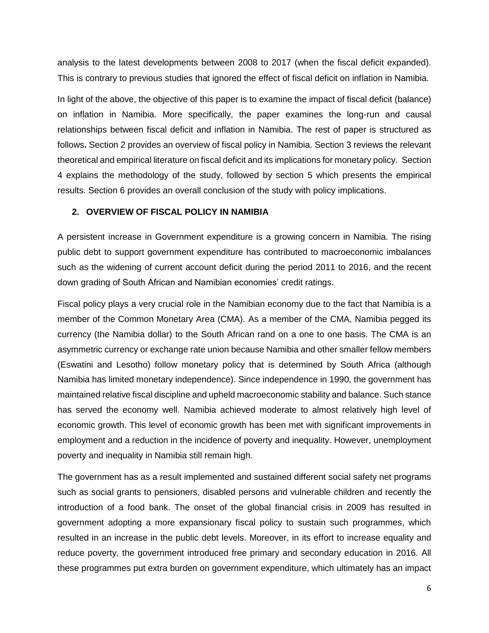analysis to the latest developments between 2008 to 2017 (when the fiscal deficit expanded). This is contrary to previous studies that ignored the effect of fiscal deficit on inflation in Namibia.

In light of the above, the objective of this paper is to examine the impact of fiscal deficit (balance) on inflation in Namibia. More specifically, the paper examines the long-run and causal relationships between fiscal deficit and inflation in Namibia. The rest of paper is structured as follows**.** Section 2 provides an overview of fiscal policy in Namibia. Section 3 reviews the relevant theoretical and empirical literature on fiscal deficit and its implications for monetary policy. Section 4 explains the methodology of the study, followed by section 5 which presents the empirical results. Section 6 provides an overall conclusion of the study with policy implications.

#### **2. OVERVIEW OF FISCAL POLICY IN NAMIBIA**

A persistent increase in Government expenditure is a growing concern in Namibia. The rising public debt to support government expenditure has contributed to macroeconomic imbalances such as the widening of current account deficit during the period 2011 to 2016, and the recent down grading of South African and Namibian economies' credit ratings.

Fiscal policy plays a very crucial role in the Namibian economy due to the fact that Namibia is a member of the Common Monetary Area (CMA). As a member of the CMA, Namibia pegged its currency (the Namibia dollar) to the South African rand on a one to one basis. The CMA is an asymmetric currency or exchange rate union because Namibia and other smaller fellow members (Eswatini and Lesotho) follow monetary policy that is determined by South Africa (although Namibia has limited monetary independence). Since independence in 1990, the government has maintained relative fiscal discipline and upheld macroeconomic stability and balance. Such stance has served the economy well. Namibia achieved moderate to almost relatively high level of economic growth. This level of economic growth has been met with significant improvements in employment and a reduction in the incidence of poverty and inequality. However, unemployment poverty and inequality in Namibia still remain high.

The government has as a result implemented and sustained different social safety net programs such as social grants to pensioners, disabled persons and vulnerable children and recently the introduction of a food bank. The onset of the global financial crisis in 2009 has resulted in government adopting a more expansionary fiscal policy to sustain such programmes, which resulted in an increase in the public debt levels. Moreover, in its effort to increase equality and reduce poverty, the government introduced free primary and secondary education in 2016. All these programmes put extra burden on government expenditure, which ultimately has an impact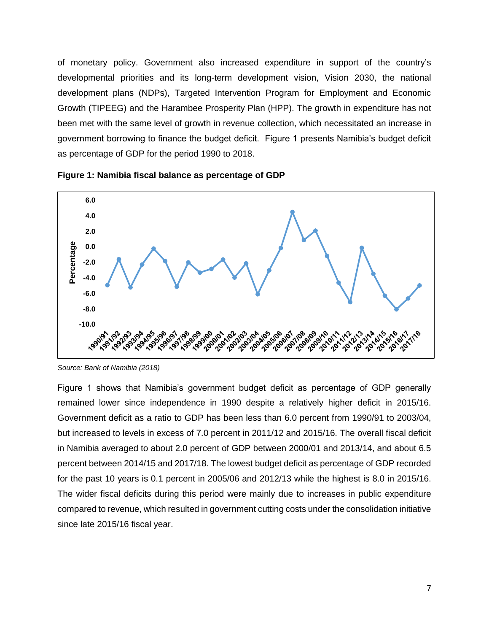of monetary policy. Government also increased expenditure in support of the country's developmental priorities and its long-term development vision, Vision 2030, the national development plans (NDPs), Targeted Intervention Program for Employment and Economic Growth (TIPEEG) and the Harambee Prosperity Plan (HPP). The growth in expenditure has not been met with the same level of growth in revenue collection, which necessitated an increase in government borrowing to finance the budget deficit. Figure 1 presents Namibia's budget deficit as percentage of GDP for the period 1990 to 2018.



**Figure 1: Namibia fiscal balance as percentage of GDP** 

Figure 1 shows that Namibia's government budget deficit as percentage of GDP generally remained lower since independence in 1990 despite a relatively higher deficit in 2015/16. Government deficit as a ratio to GDP has been less than 6.0 percent from 1990/91 to 2003/04, but increased to levels in excess of 7.0 percent in 2011/12 and 2015/16. The overall fiscal deficit in Namibia averaged to about 2.0 percent of GDP between 2000/01 and 2013/14, and about 6.5 percent between 2014/15 and 2017/18. The lowest budget deficit as percentage of GDP recorded for the past 10 years is 0.1 percent in 2005/06 and 2012/13 while the highest is 8.0 in 2015/16. The wider fiscal deficits during this period were mainly due to increases in public expenditure compared to revenue, which resulted in government cutting costs under the consolidation initiative since late 2015/16 fiscal year.

*Source: Bank of Namibia (2018)*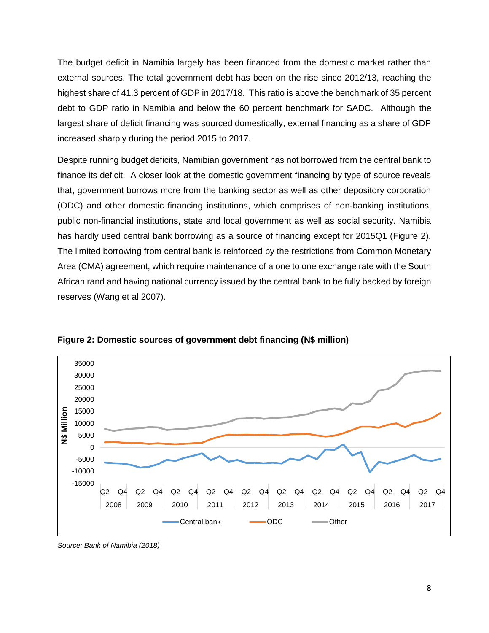The budget deficit in Namibia largely has been financed from the domestic market rather than external sources. The total government debt has been on the rise since 2012/13, reaching the highest share of 41.3 percent of GDP in 2017/18. This ratio is above the benchmark of 35 percent debt to GDP ratio in Namibia and below the 60 percent benchmark for SADC. Although the largest share of deficit financing was sourced domestically, external financing as a share of GDP increased sharply during the period 2015 to 2017.

Despite running budget deficits, Namibian government has not borrowed from the central bank to finance its deficit. A closer look at the domestic government financing by type of source reveals that, government borrows more from the banking sector as well as other depository corporation (ODC) and other domestic financing institutions, which comprises of non-banking institutions, public non-financial institutions, state and local government as well as social security. Namibia has hardly used central bank borrowing as a source of financing except for 2015Q1 (Figure 2). The limited borrowing from central bank is reinforced by the restrictions from Common Monetary Area (CMA) agreement, which require maintenance of a one to one exchange rate with the South African rand and having national currency issued by the central bank to be fully backed by foreign reserves (Wang et al 2007).



**Figure 2: Domestic sources of government debt financing (N\$ million)**

*Source: Bank of Namibia (2018)*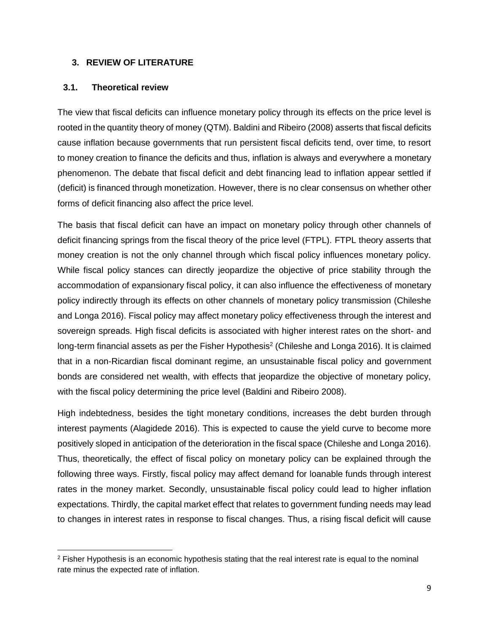#### **3. REVIEW OF LITERATURE**

#### **3.1. Theoretical review**

The view that fiscal deficits can influence monetary policy through its effects on the price level is rooted in the quantity theory of money (QTM). Baldini and Ribeiro (2008) asserts that fiscal deficits cause inflation because governments that run persistent fiscal deficits tend, over time, to resort to money creation to finance the deficits and thus, inflation is always and everywhere a monetary phenomenon. The debate that fiscal deficit and debt financing lead to inflation appear settled if (deficit) is financed through monetization. However, there is no clear consensus on whether other forms of deficit financing also affect the price level.

The basis that fiscal deficit can have an impact on monetary policy through other channels of deficit financing springs from the fiscal theory of the price level (FTPL). FTPL theory asserts that money creation is not the only channel through which fiscal policy influences monetary policy. While fiscal policy stances can directly jeopardize the objective of price stability through the accommodation of expansionary fiscal policy, it can also influence the effectiveness of monetary policy indirectly through its effects on other channels of monetary policy transmission (Chileshe and Longa 2016). Fiscal policy may affect monetary policy effectiveness through the interest and sovereign spreads. High fiscal deficits is associated with higher interest rates on the short- and long-term financial assets as per the Fisher Hypothesis<sup>2</sup> (Chileshe and Longa 2016). It is claimed that in a non-Ricardian fiscal dominant regime, an unsustainable fiscal policy and government bonds are considered net wealth, with effects that jeopardize the objective of monetary policy, with the fiscal policy determining the price level (Baldini and Ribeiro 2008).

High indebtedness, besides the tight monetary conditions, increases the debt burden through interest payments (Alagidede 2016). This is expected to cause the yield curve to become more positively sloped in anticipation of the deterioration in the fiscal space (Chileshe and Longa 2016). Thus, theoretically, the effect of fiscal policy on monetary policy can be explained through the following three ways. Firstly, fiscal policy may affect demand for loanable funds through interest rates in the money market. Secondly, unsustainable fiscal policy could lead to higher inflation expectations. Thirdly, the capital market effect that relates to government funding needs may lead to changes in interest rates in response to fiscal changes. Thus, a rising fiscal deficit will cause

 $\overline{a}$  $2$  Fisher Hypothesis is an economic hypothesis stating that the real interest rate is equal to the nominal rate minus the expected rate of [inflation.](https://investinganswers.com/node/973)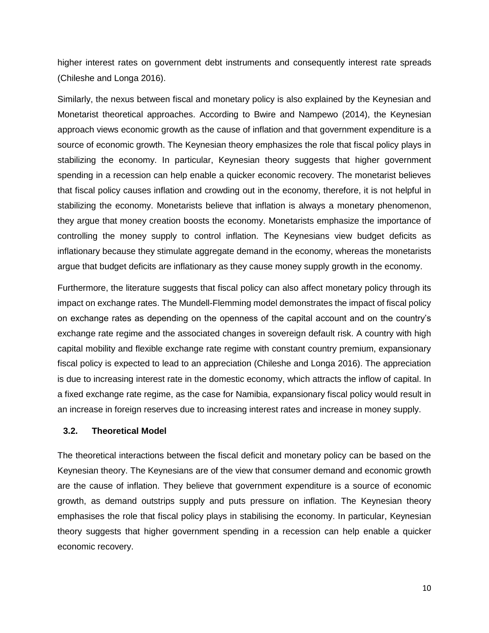higher interest rates on government debt instruments and consequently interest rate spreads (Chileshe and Longa 2016).

Similarly, the nexus between fiscal and monetary policy is also explained by the Keynesian and Monetarist theoretical approaches. According to Bwire and Nampewo (2014), the Keynesian approach views economic growth as the cause of inflation and that government expenditure is a source of economic growth. The Keynesian theory emphasizes the role that fiscal policy plays in stabilizing the economy. In particular, Keynesian theory suggests that higher government spending in a recession can help enable a quicker economic recovery. The monetarist believes that fiscal policy causes inflation and crowding out in the economy, therefore, it is not helpful in stabilizing the economy. Monetarists believe that inflation is always a monetary phenomenon, they argue that money creation boosts the economy. Monetarists emphasize the importance of controlling the money supply to control inflation. The Keynesians view budget deficits as inflationary because they stimulate aggregate demand in the economy, whereas the monetarists argue that budget deficits are inflationary as they cause money supply growth in the economy.

Furthermore, the literature suggests that fiscal policy can also affect monetary policy through its impact on exchange rates. The Mundell-Flemming model demonstrates the impact of fiscal policy on exchange rates as depending on the openness of the capital account and on the country's exchange rate regime and the associated changes in sovereign default risk. A country with high capital mobility and flexible exchange rate regime with constant country premium, expansionary fiscal policy is expected to lead to an appreciation (Chileshe and Longa 2016). The appreciation is due to increasing interest rate in the domestic economy, which attracts the inflow of capital. In a fixed exchange rate regime, as the case for Namibia, expansionary fiscal policy would result in an increase in foreign reserves due to increasing interest rates and increase in money supply.

#### **3.2. Theoretical Model**

The theoretical interactions between the fiscal deficit and monetary policy can be based on the Keynesian theory. The Keynesians are of the view that consumer demand and economic growth are the cause of inflation. They believe that government expenditure is a source of economic growth, as demand outstrips supply and puts pressure on inflation. The Keynesian theory emphasises the role that fiscal policy plays in stabilising the economy. In particular, Keynesian theory suggests that higher government spending in a recession can help enable a quicker economic recovery.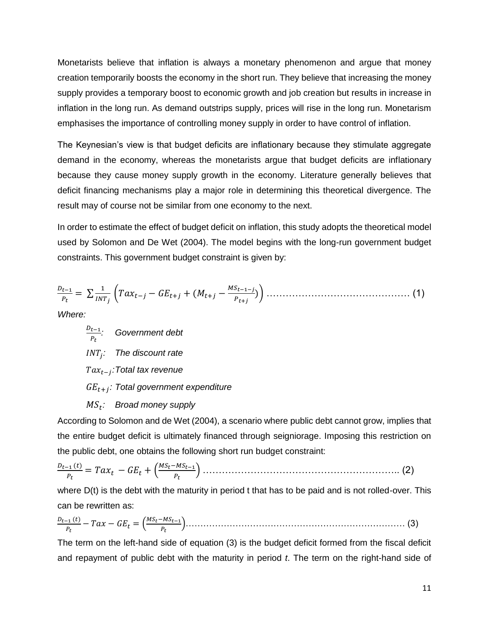Monetarists believe that inflation is always a monetary phenomenon and argue that money creation temporarily boosts the economy in the short run. They believe that increasing the money supply provides a temporary boost to economic growth and job creation but results in increase in inflation in the long run. As demand outstrips supply, prices will rise in the long run. Monetarism emphasises the importance of controlling money supply in order to have control of inflation.

The Keynesian's view is that budget deficits are inflationary because they stimulate aggregate demand in the economy, whereas the monetarists argue that budget deficits are inflationary because they cause money supply growth in the economy. Literature generally believes that deficit financing mechanisms play a major role in determining this theoretical divergence. The result may of course not be similar from one economy to the next.

In order to estimate the effect of budget deficit on inflation, this study adopts the theoretical model used by Solomon and De Wet (2004). The model begins with the long-run government budget constraints. This government budget constraint is given by:

$$
\frac{D_{t-1}}{P_t} = \sum \frac{1}{INT_j} \left( T a x_{t-j} - G E_{t+j} + (M_{t+j} - \frac{M S_{t-1-j}}{P_{t+j}}) \right) \dots \dots \dots \dots \dots \dots \dots \dots \dots \dots \tag{1}
$$

*Where:*

 $D_{t-1}$  *: Government debt : The discount rate* − *:Total tax revenue* + *: Total government expenditure*

# $\mathit{MS}_t$ :  $\;$  Broad money supply

According to Solomon and de Wet (2004), a scenario where public debt cannot grow, implies that the entire budget deficit is ultimately financed through seigniorage. Imposing this restriction on the public debt, one obtains the following short run budget constraint:

 $D_{t-1}(t)$  $\frac{q_{t-1}(t)}{p_t} = Tax_t - GE_t + \left(\frac{MS_t - MS_{t-1}}{p_t}\right)$ ) …………………………………………………….. (2)

where  $D(t)$  is the debt with the maturity in period t that has to be paid and is not rolled-over. This can be rewritten as:

$$
\frac{D_{t-1}(t)}{P_t} - Tax - GE_t = \left(\frac{MS_t - MS_{t-1}}{P_t}\right) \dots \dots \dots \dots \dots \dots \dots \dots \dots \dots \dots \dots \dots \dots \dots \dots \dots \tag{3}
$$

The term on the left-hand side of equation (3) is the budget deficit formed from the fiscal deficit and repayment of public debt with the maturity in period *t*. The term on the right-hand side of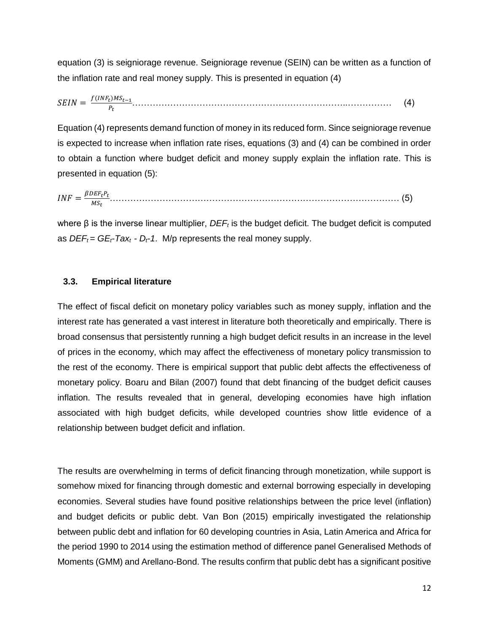equation (3) is seigniorage revenue. Seigniorage revenue (SEIN) can be written as a function of the inflation rate and real money supply. This is presented in equation (4)

$$
SEIN = \frac{f(INF_t)MS_{t-1}}{P_t}.\tag{4}
$$

Equation (4) represents demand function of money in its reduced form. Since seigniorage revenue is expected to increase when inflation rate rises, equations (3) and (4) can be combined in order to obtain a function where budget deficit and money supply explain the inflation rate. This is presented in equation (5):

 = ……………………………………………………………………………………… (5)

where β is the inverse linear multiplier, *DEF<sup>t</sup>* is the budget deficit. The budget deficit is computed as  $DEF<sub>t</sub> = GE<sub>t</sub> - Tax<sub>t</sub> - D<sub>t</sub> - 1$ . M/p represents the real money supply.

## **3.3. Empirical literature**

The effect of fiscal deficit on monetary policy variables such as money supply, inflation and the interest rate has generated a vast interest in literature both theoretically and empirically. There is broad consensus that persistently running a high budget deficit results in an increase in the level of prices in the economy, which may affect the effectiveness of monetary policy transmission to the rest of the economy. There is empirical support that public debt affects the effectiveness of monetary policy. Boaru and Bilan (2007) found that debt financing of the budget deficit causes inflation. The results revealed that in general, developing economies have high inflation associated with high budget deficits, while developed countries show little evidence of a relationship between budget deficit and inflation.

The results are overwhelming in terms of deficit financing through monetization, while support is somehow mixed for financing through domestic and external borrowing especially in developing economies. Several studies have found positive relationships between the price level (inflation) and budget deficits or public debt. Van Bon (2015) empirically investigated the relationship between public debt and inflation for 60 developing countries in Asia, Latin America and Africa for the period 1990 to 2014 using the estimation method of difference panel Generalised Methods of Moments (GMM) and Arellano-Bond. The results confirm that public debt has a significant positive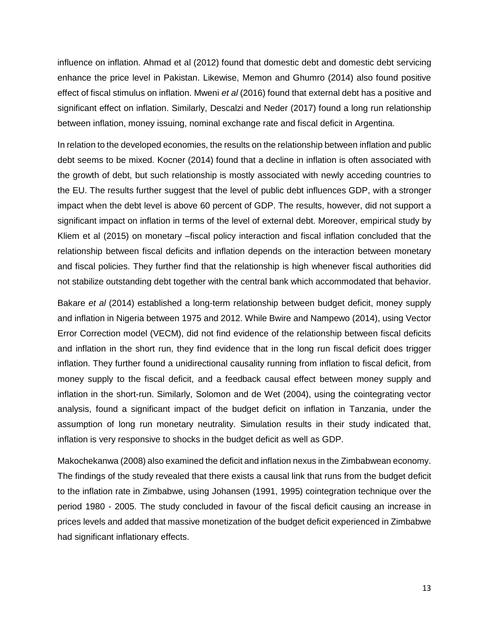influence on inflation. Ahmad et al (2012) found that domestic debt and domestic debt servicing enhance the price level in Pakistan. Likewise, Memon and Ghumro (2014) also found positive effect of fiscal stimulus on inflation. Mweni *et al* (2016) found that external debt has a positive and significant effect on inflation. Similarly, Descalzi and Neder (2017) found a long run relationship between inflation, money issuing, nominal exchange rate and fiscal deficit in Argentina.

In relation to the developed economies, the results on the relationship between inflation and public debt seems to be mixed. Kocner (2014) found that a decline in inflation is often associated with the growth of debt, but such relationship is mostly associated with newly acceding countries to the EU. The results further suggest that the level of public debt influences GDP, with a stronger impact when the debt level is above 60 percent of GDP. The results, however, did not support a significant impact on inflation in terms of the level of external debt. Moreover, empirical study by Kliem et al (2015) on monetary –fiscal policy interaction and fiscal inflation concluded that the relationship between fiscal deficits and inflation depends on the interaction between monetary and fiscal policies. They further find that the relationship is high whenever fiscal authorities did not stabilize outstanding debt together with the central bank which accommodated that behavior.

Bakare *et al* (2014) established a long-term relationship between budget deficit, money supply and inflation in Nigeria between 1975 and 2012. While Bwire and Nampewo (2014), using Vector Error Correction model (VECM), did not find evidence of the relationship between fiscal deficits and inflation in the short run, they find evidence that in the long run fiscal deficit does trigger inflation. They further found a unidirectional causality running from inflation to fiscal deficit, from money supply to the fiscal deficit, and a feedback causal effect between money supply and inflation in the short-run. Similarly, Solomon and de Wet (2004), using the cointegrating vector analysis, found a significant impact of the budget deficit on inflation in Tanzania, under the assumption of long run monetary neutrality. Simulation results in their study indicated that, inflation is very responsive to shocks in the budget deficit as well as GDP.

Makochekanwa (2008) also examined the deficit and inflation nexus in the Zimbabwean economy. The findings of the study revealed that there exists a causal link that runs from the budget deficit to the inflation rate in Zimbabwe, using Johansen (1991, 1995) cointegration technique over the period 1980 - 2005. The study concluded in favour of the fiscal deficit causing an increase in prices levels and added that massive monetization of the budget deficit experienced in Zimbabwe had significant inflationary effects.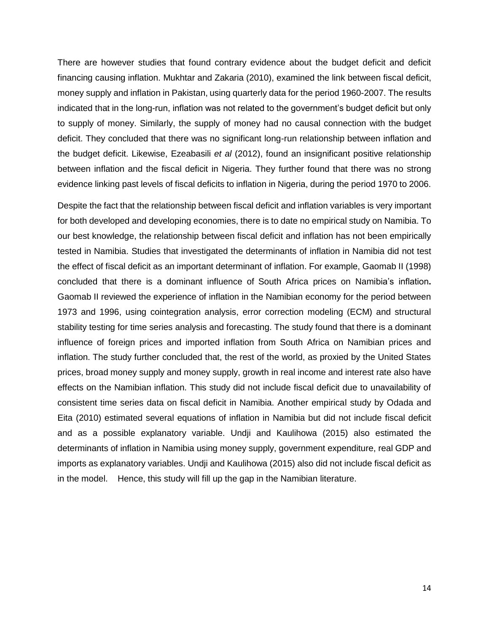There are however studies that found contrary evidence about the budget deficit and deficit financing causing inflation. Mukhtar and Zakaria (2010), examined the link between fiscal deficit, money supply and inflation in Pakistan, using quarterly data for the period 1960-2007. The results indicated that in the long-run, inflation was not related to the government's budget deficit but only to supply of money. Similarly, the supply of money had no causal connection with the budget deficit. They concluded that there was no significant long-run relationship between inflation and the budget deficit. Likewise, Ezeabasili *et al* (2012), found an insignificant positive relationship between inflation and the fiscal deficit in Nigeria. They further found that there was no strong evidence linking past levels of fiscal deficits to inflation in Nigeria, during the period 1970 to 2006.

Despite the fact that the relationship between fiscal deficit and inflation variables is very important for both developed and developing economies, there is to date no empirical study on Namibia. To our best knowledge, the relationship between fiscal deficit and inflation has not been empirically tested in Namibia. Studies that investigated the determinants of inflation in Namibia did not test the effect of fiscal deficit as an important determinant of inflation. For example, Gaomab II (1998) concluded that there is a dominant influence of South Africa prices on Namibia's inflation**.** Gaomab II reviewed the experience of inflation in the Namibian economy for the period between 1973 and 1996, using cointegration analysis, error correction modeling (ECM) and structural stability testing for time series analysis and forecasting. The study found that there is a dominant influence of foreign prices and imported inflation from South Africa on Namibian prices and inflation. The study further concluded that, the rest of the world, as proxied by the United States prices, broad money supply and money supply, growth in real income and interest rate also have effects on the Namibian inflation. This study did not include fiscal deficit due to unavailability of consistent time series data on fiscal deficit in Namibia. Another empirical study by Odada and Eita (2010) estimated several equations of inflation in Namibia but did not include fiscal deficit and as a possible explanatory variable. Undji and Kaulihowa (2015) also estimated the determinants of inflation in Namibia using money supply, government expenditure, real GDP and imports as explanatory variables. Undji and Kaulihowa (2015) also did not include fiscal deficit as in the model. Hence, this study will fill up the gap in the Namibian literature.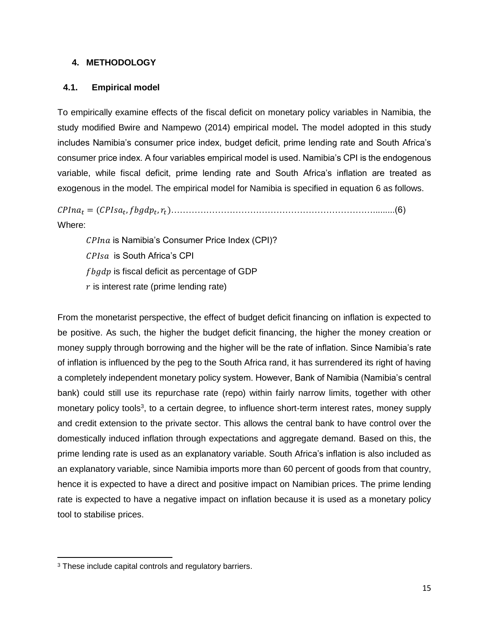## **4. METHODOLOGY**

# **4.1. Empirical model**

To empirically examine effects of the fiscal deficit on monetary policy variables in Namibia, the study modified Bwire and Nampewo (2014) empirical model**.** The model adopted in this study includes Namibia's consumer price index, budget deficit, prime lending rate and South Africa's consumer price index. A four variables empirical model is used. Namibia's CPI is the endogenous variable, while fiscal deficit, prime lending rate and South Africa's inflation are treated as exogenous in the model. The empirical model for Namibia is specified in equation 6 as follows.

 = ( , , )…………………………………………………………….........(6) Where:

 $CPIna$  is Namibia's Consumer Price Index (CPI)? CPIsa is South Africa's CPI  $fbgdp$  is fiscal deficit as percentage of GDP  $r$  is interest rate (prime lending rate)

From the monetarist perspective, the effect of budget deficit financing on inflation is expected to be positive. As such, the higher the budget deficit financing, the higher the money creation or money supply through borrowing and the higher will be the rate of inflation. Since Namibia's rate of inflation is influenced by the peg to the South Africa rand, it has surrendered its right of having a completely independent monetary policy system. However, Bank of Namibia (Namibia's central bank) could still use its repurchase rate (repo) within fairly narrow limits, together with other monetary policy tools<sup>3</sup>, to a certain degree, to influence short-term interest rates, money supply and credit extension to the private sector. This allows the central bank to have control over the domestically induced inflation through expectations and aggregate demand. Based on this, the prime lending rate is used as an explanatory variable. South Africa's inflation is also included as an explanatory variable, since Namibia imports more than 60 percent of goods from that country, hence it is expected to have a direct and positive impact on Namibian prices. The prime lending rate is expected to have a negative impact on inflation because it is used as a monetary policy tool to stabilise prices.

 $\overline{\phantom{a}}$ 

<sup>&</sup>lt;sup>3</sup> These include capital controls and regulatory barriers.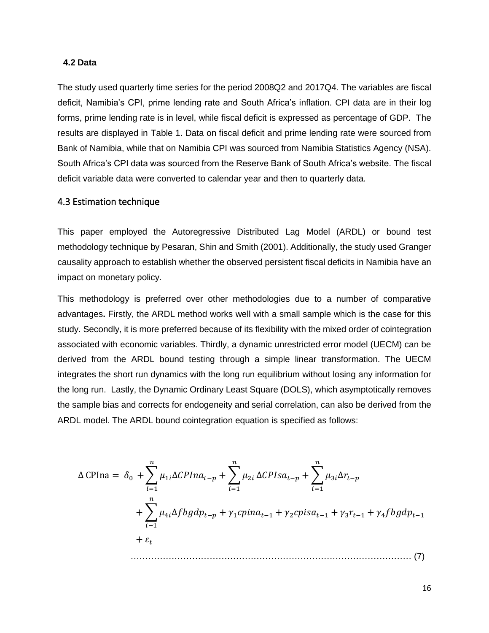#### **4.2 Data**

The study used quarterly time series for the period 2008Q2 and 2017Q4. The variables are fiscal deficit, Namibia's CPI, prime lending rate and South Africa's inflation. CPI data are in their log forms, prime lending rate is in level, while fiscal deficit is expressed as percentage of GDP. The results are displayed in Table 1. Data on fiscal deficit and prime lending rate were sourced from Bank of Namibia, while that on Namibia CPI was sourced from Namibia Statistics Agency (NSA). South Africa's CPI data was sourced from the Reserve Bank of South Africa's website. The fiscal deficit variable data were converted to calendar year and then to quarterly data.

#### 4.3 Estimation technique

This paper employed the Autoregressive Distributed Lag Model (ARDL) or bound test methodology technique by Pesaran, Shin and Smith (2001). Additionally, the study used Granger causality approach to establish whether the observed persistent fiscal deficits in Namibia have an impact on monetary policy.

This methodology is preferred over other methodologies due to a number of comparative advantages**.** Firstly, the ARDL method works well with a small sample which is the case for this study. Secondly, it is more preferred because of its flexibility with the mixed order of cointegration associated with economic variables. Thirdly, a dynamic unrestricted error model (UECM) can be derived from the ARDL bound testing through a simple linear transformation. The UECM integrates the short run dynamics with the long run equilibrium without losing any information for the long run. Lastly, the Dynamic Ordinary Least Square (DOLS), which asymptotically removes the sample bias and corrects for endogeneity and serial correlation, can also be derived from the ARDL model. The ARDL bound cointegration equation is specified as follows:

∆ CPIna = <sup>0</sup> +∑1∆− =1 + ∑2 =1 ∆− + ∑3∆− =1 + ∑4∆− −1 + 1−1 + 2−1 + 3−1 + 4−1 + …………………………………………………………………………………… (7)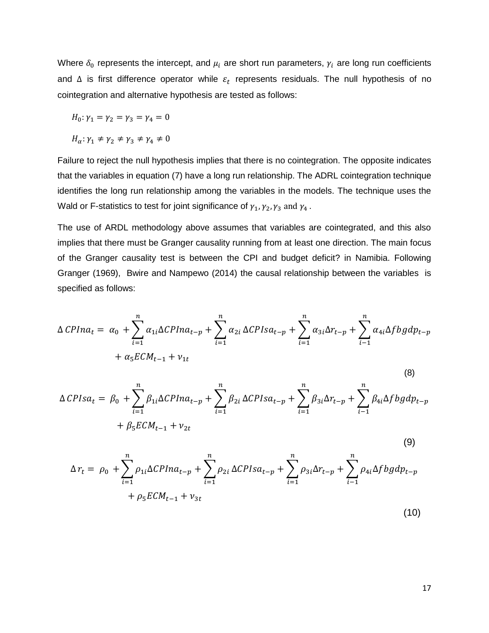Where  $\delta_0$  represents the intercept, and  $\mu_i$  are short run parameters,  $\gamma_i$  are long run coefficients and  $\Delta$  is first difference operator while  $\varepsilon_t$  represents residuals. The null hypothesis of no cointegration and alternative hypothesis are tested as follows:

$$
H_0: \gamma_1 = \gamma_2 = \gamma_3 = \gamma_4 = 0
$$

 $H_{\alpha}$ :  $\gamma_1 \neq \gamma_2 \neq \gamma_3 \neq \gamma_4 \neq 0$ 

Failure to reject the null hypothesis implies that there is no cointegration. The opposite indicates that the variables in equation (7) have a long run relationship. The ADRL cointegration technique identifies the long run relationship among the variables in the models. The technique uses the Wald or F-statistics to test for joint significance of  $\gamma_1, \gamma_2, \gamma_3$  and  $\gamma_4$ .

The use of ARDL methodology above assumes that variables are cointegrated, and this also implies that there must be Granger causality running from at least one direction. The main focus of the Granger causality test is between the CPI and budget deficit? in Namibia. Following Granger (1969), Bwire and Nampewo (2014) the causal relationship between the variables is specified as follows:

$$
\Delta CPIna_{t} = \alpha_{0} + \sum_{i=1}^{n} \alpha_{1i} \Delta CPIna_{t-p} + \sum_{i=1}^{n} \alpha_{2i} \Delta CPIsa_{t-p} + \sum_{i=1}^{n} \alpha_{3i} \Delta r_{t-p} + \sum_{i=1}^{n} \alpha_{4i} \Delta fbgdp_{t-p} \n+ \alpha_{5}ECM_{t-1} + v_{1t}
$$
\n(8)  
\n
$$
\Delta CPIsa_{t} = \beta_{0} + \sum_{i=1}^{n} \beta_{1i} \Delta CPIna_{t-p} + \sum_{i=1}^{n} \beta_{2i} \Delta CPIsa_{t-p} + \sum_{i=1}^{n} \beta_{3i} \Delta r_{t-p} + \sum_{i=1}^{n} \beta_{4i} \Delta fbgdp_{t-p} \n+ \beta_{5}ECM_{t-1} + v_{2t}
$$
\n(9)  
\n
$$
\Delta r_{t} = \rho_{0} + \sum_{i=1}^{n} \rho_{1i} \Delta CPIna_{t-p} + \sum_{i=1}^{n} \rho_{2i} \Delta CPIsa_{t-p} + \sum_{i=1}^{n} \rho_{3i} \Delta r_{t-p} + \sum_{i=1}^{n} \rho_{4i} \Delta fbgdp_{t-p} \n+ \rho_{5}ECM_{t-1} + v_{3t}
$$
\n(10)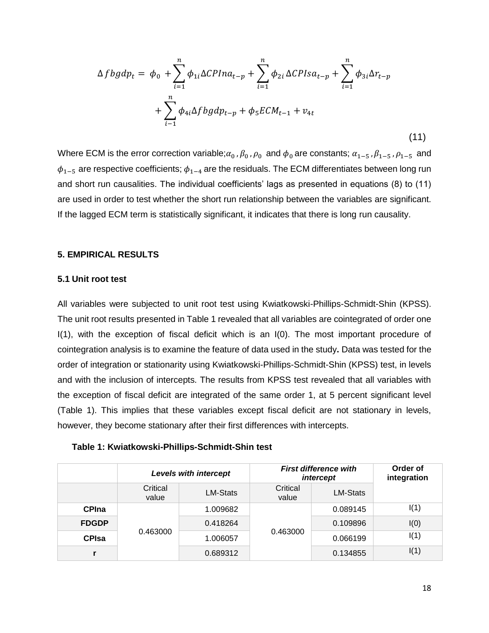$$
\Delta f b g d p_t = \phi_0 + \sum_{i=1}^n \phi_{1i} \Delta C P I n a_{t-p} + \sum_{i=1}^n \phi_{2i} \Delta C P I s a_{t-p} + \sum_{i=1}^n \phi_{3i} \Delta r_{t-p} + \sum_{i=1}^n \phi_{4i} \Delta f b g d p_{t-p} + \phi_5 E C M_{t-1} + v_{4t}
$$
\n(11)

Where ECM is the error correction variable; $\alpha_0$ ,  $\beta_0$ ,  $\rho_0$  and  $\phi_0$  are constants;  $\alpha_{1-5}$ ,  $\beta_{1-5}$ ,  $\rho_{1-5}$  and  $\phi_{1-5}$  are respective coefficients;  $\phi_{1-4}$  are the residuals. The ECM differentiates between long run and short run causalities. The individual coefficients' lags as presented in equations (8) to (11) are used in order to test whether the short run relationship between the variables are significant. If the lagged ECM term is statistically significant, it indicates that there is long run causality.

## **5. EMPIRICAL RESULTS**

#### **5.1 Unit root test**

All variables were subjected to unit root test using Kwiatkowski-Phillips-Schmidt-Shin (KPSS). The unit root results presented in Table 1 revealed that all variables are cointegrated of order one I(1), with the exception of fiscal deficit which is an I(0). The most important procedure of cointegration analysis is to examine the feature of data used in the study**.** Data was tested for the order of integration or stationarity using Kwiatkowski-Phillips-Schmidt-Shin (KPSS) test, in levels and with the inclusion of intercepts. The results from KPSS test revealed that all variables with the exception of fiscal deficit are integrated of the same order 1, at 5 percent significant level (Table 1). This implies that these variables except fiscal deficit are not stationary in levels, however, they become stationary after their first differences with intercepts.

#### **Table 1: Kwiatkowski-Phillips-Schmidt-Shin test**

|              | Levels with intercept |                 | <b>First difference with</b><br>intercept |                 | Order of<br>integration |
|--------------|-----------------------|-----------------|-------------------------------------------|-----------------|-------------------------|
|              | Critical<br>value     | <b>LM-Stats</b> | Critical<br>value                         | <b>LM-Stats</b> |                         |
| <b>CPIna</b> | 0.463000              | 1.009682        | 0.463000                                  | 0.089145        | I(1)                    |
| <b>FDGDP</b> |                       | 0.418264        |                                           | 0.109896        | I(0)                    |
| <b>CPIsa</b> |                       | 1.006057        |                                           | 0.066199        | I(1)                    |
|              |                       | 0.689312        |                                           | 0.134855        | I(1)                    |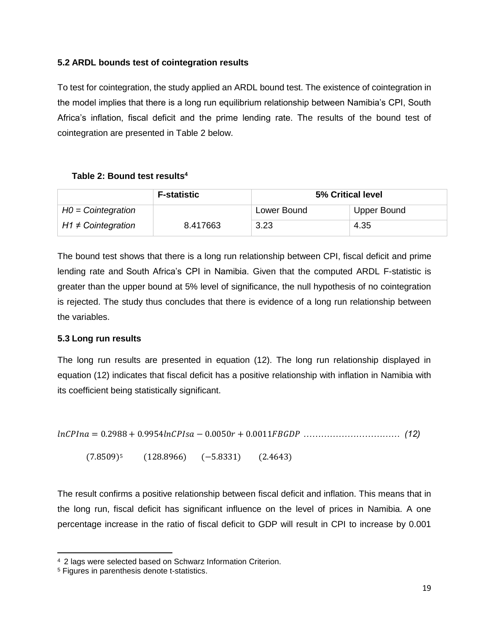# **5.2 ARDL bounds test of cointegration results**

To test for cointegration, the study applied an ARDL bound test. The existence of cointegration in the model implies that there is a long run equilibrium relationship between Namibia's CPI, South Africa's inflation, fiscal deficit and the prime lending rate. The results of the bound test of cointegration are presented in Table 2 below.

## **Table 2: Bound test results<sup>4</sup>**

|                         | <b>F-statistic</b> | 5% Critical level |             |
|-------------------------|--------------------|-------------------|-------------|
| $HO = Cointegration$    |                    | Lower Bound       | Upper Bound |
| $H1 \neq$ Cointegration | 8.417663           | 3.23              | 4.35        |

The bound test shows that there is a long run relationship between CPI, fiscal deficit and prime lending rate and South Africa's CPI in Namibia. Given that the computed ARDL F-statistic is greater than the upper bound at 5% level of significance, the null hypothesis of no cointegration is rejected. The study thus concludes that there is evidence of a long run relationship between the variables.

## **5.3 Long run results**

The long run results are presented in equation (12). The long run relationship displayed in equation (12) indicates that fiscal deficit has a positive relationship with inflation in Namibia with its coefficient being statistically significant.

= 0.2988 + 0.9954 − 0.0050 + 0.0011 *…………………………… (12)*

(7.8509)<sup>5</sup> (128.8966) (−5.8331) (2.4643)

The result confirms a positive relationship between fiscal deficit and inflation. This means that in the long run, fiscal deficit has significant influence on the level of prices in Namibia. A one percentage increase in the ratio of fiscal deficit to GDP will result in CPI to increase by 0.001

 $\overline{a}$ 

<sup>4</sup> 2 lags were selected based on Schwarz Information Criterion.

<sup>5</sup> Figures in parenthesis denote t-statistics.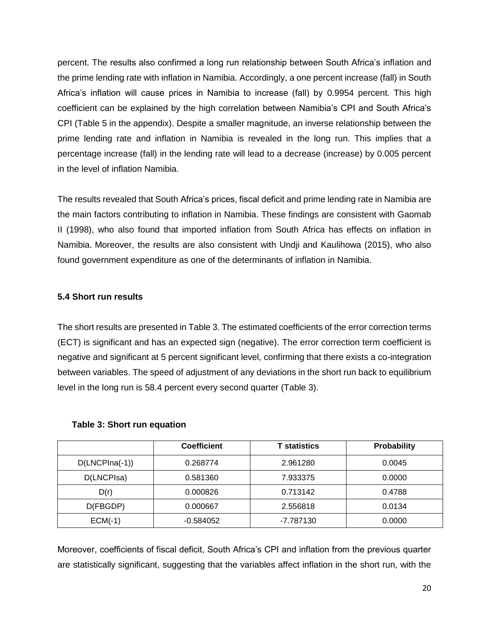percent. The results also confirmed a long run relationship between South Africa's inflation and the prime lending rate with inflation in Namibia. Accordingly, a one percent increase (fall) in South Africa's inflation will cause prices in Namibia to increase (fall) by 0.9954 percent. This high coefficient can be explained by the high correlation between Namibia's CPI and South Africa's CPI (Table 5 in the appendix). Despite a smaller magnitude, an inverse relationship between the prime lending rate and inflation in Namibia is revealed in the long run. This implies that a percentage increase (fall) in the lending rate will lead to a decrease (increase) by 0.005 percent in the level of inflation Namibia.

The results revealed that South Africa's prices, fiscal deficit and prime lending rate in Namibia are the main factors contributing to inflation in Namibia. These findings are consistent with Gaomab II (1998), who also found that imported inflation from South Africa has effects on inflation in Namibia. Moreover, the results are also consistent with Undji and Kaulihowa (2015), who also found government expenditure as one of the determinants of inflation in Namibia.

## **5.4 Short run results**

The short results are presented in Table 3. The estimated coefficients of the error correction terms (ECT) is significant and has an expected sign (negative). The error correction term coefficient is negative and significant at 5 percent significant level, confirming that there exists a co-integration between variables. The speed of adjustment of any deviations in the short run back to equilibrium level in the long run is 58.4 percent every second quarter (Table 3).

|                  | <b>Coefficient</b> | <b>T</b> statistics | <b>Probability</b> |
|------------------|--------------------|---------------------|--------------------|
| $D(LNCPIna(-1))$ | 0.268774           | 2.961280            | 0.0045             |
| D(LNCPIsa)       | 0.581360           | 7.933375            | 0.0000             |
| D(r)             | 0.000826           | 0.713142            | 0.4788             |
| D(FBGDP)         | 0.000667           | 2.556818            | 0.0134             |
| $ECM(-1)$        | $-0.584052$        | -7.787130           | 0.0000             |

#### **Table 3: Short run equation**

Moreover, coefficients of fiscal deficit, South Africa's CPI and inflation from the previous quarter are statistically significant, suggesting that the variables affect inflation in the short run, with the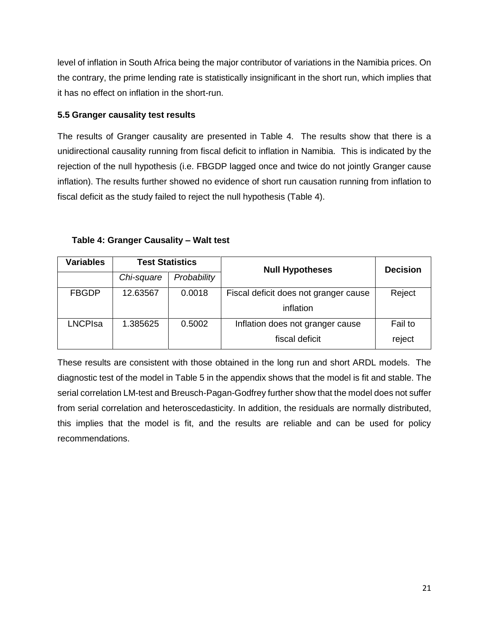level of inflation in South Africa being the major contributor of variations in the Namibia prices. On the contrary, the prime lending rate is statistically insignificant in the short run, which implies that it has no effect on inflation in the short-run.

# **5.5 Granger causality test results**

The results of Granger causality are presented in Table 4. The results show that there is a unidirectional causality running from fiscal deficit to inflation in Namibia. This is indicated by the rejection of the null hypothesis (i.e. FBGDP lagged once and twice do not jointly Granger cause inflation). The results further showed no evidence of short run causation running from inflation to fiscal deficit as the study failed to reject the null hypothesis (Table 4).

| <b>Variables</b> | <b>Test Statistics</b> |             | <b>Null Hypotheses</b>                | <b>Decision</b> |  |
|------------------|------------------------|-------------|---------------------------------------|-----------------|--|
|                  | Chi-square             | Probability |                                       |                 |  |
| <b>FBGDP</b>     | 12.63567               | 0.0018      | Fiscal deficit does not granger cause | Reject          |  |
|                  |                        |             | inflation                             |                 |  |
| LNCPIsa          | 1.385625               | 0.5002      | Inflation does not granger cause      | Fail to         |  |
|                  |                        |             | fiscal deficit                        | reject          |  |

**Table 4: Granger Causality – Walt test**

These results are consistent with those obtained in the long run and short ARDL models. The diagnostic test of the model in Table 5 in the appendix shows that the model is fit and stable. The serial correlation LM-test and Breusch-Pagan-Godfrey further show that the model does not suffer from serial correlation and heteroscedasticity. In addition, the residuals are normally distributed, this implies that the model is fit, and the results are reliable and can be used for policy recommendations.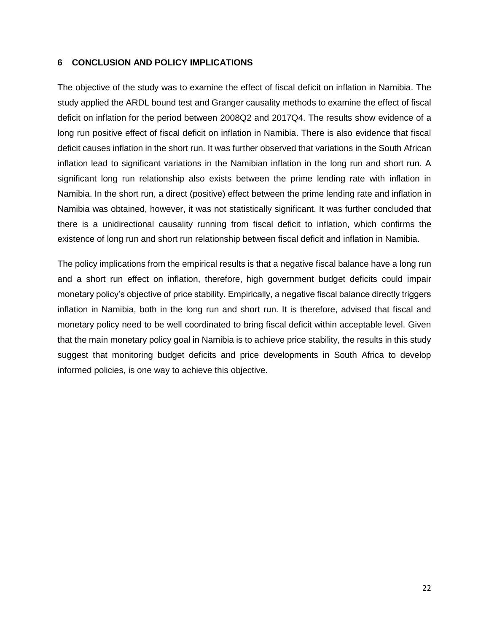#### **6 CONCLUSION AND POLICY IMPLICATIONS**

The objective of the study was to examine the effect of fiscal deficit on inflation in Namibia. The study applied the ARDL bound test and Granger causality methods to examine the effect of fiscal deficit on inflation for the period between 2008Q2 and 2017Q4. The results show evidence of a long run positive effect of fiscal deficit on inflation in Namibia. There is also evidence that fiscal deficit causes inflation in the short run. It was further observed that variations in the South African inflation lead to significant variations in the Namibian inflation in the long run and short run. A significant long run relationship also exists between the prime lending rate with inflation in Namibia. In the short run, a direct (positive) effect between the prime lending rate and inflation in Namibia was obtained, however, it was not statistically significant. It was further concluded that there is a unidirectional causality running from fiscal deficit to inflation, which confirms the existence of long run and short run relationship between fiscal deficit and inflation in Namibia.

The policy implications from the empirical results is that a negative fiscal balance have a long run and a short run effect on inflation, therefore, high government budget deficits could impair monetary policy's objective of price stability. Empirically, a negative fiscal balance directly triggers inflation in Namibia, both in the long run and short run. It is therefore, advised that fiscal and monetary policy need to be well coordinated to bring fiscal deficit within acceptable level. Given that the main monetary policy goal in Namibia is to achieve price stability, the results in this study suggest that monitoring budget deficits and price developments in South Africa to develop informed policies, is one way to achieve this objective.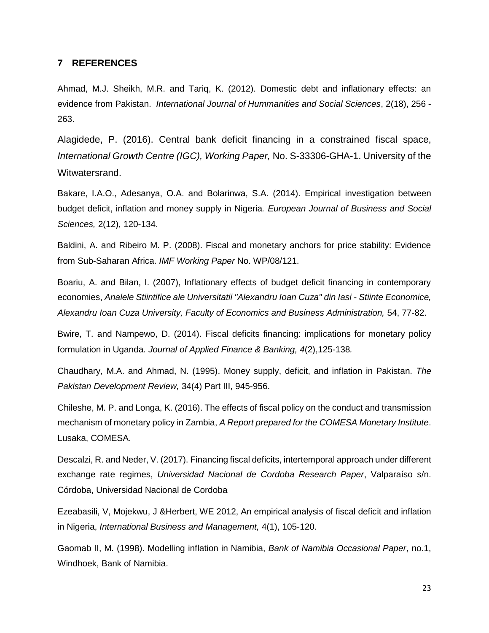#### **7 REFERENCES**

Ahmad, M.J. Sheikh, M.R. and Tariq, K. (2012). Domestic debt and inflationary effects: an evidence from Pakistan. *International Journal of Hummanities and Social Sciences*, 2(18), 256 - 263.

Alagidede, P. (2016). Central bank deficit financing in a constrained fiscal space, *International Growth Centre (IGC), Working Paper,* No. S-33306-GHA-1. University of the Witwatersrand.

Bakare, I.A.O., Adesanya, O.A. and Bolarinwa, S.A. (2014). Empirical investigation between budget deficit, inflation and money supply in Nigeria*. European Journal of Business and Social Sciences,* 2(12), 120-134.

Baldini, A. and Ribeiro M. P. (2008). Fiscal and monetary anchors for price stability: Evidence from Sub-Saharan Africa. *IMF Working Paper* No. WP/08/121.

Boariu, A. and Bilan, I. (2007), Inflationary effects of budget deficit financing in contemporary economies, *Analele Stiintifice ale Universitatii "Alexandru Ioan Cuza" din Iasi - Stiinte Economice,*  Alexandru Ioan Cuza University, Faculty of Economics and Business Administration, 54, 77-82.

Bwire, T. and Nampewo, D. (2014). Fiscal deficits financing: implications for monetary policy formulation in Uganda. *Journal of Applied Finance & Banking, 4*(2),125-138*.*

Chaudhary, M.A. and Ahmad, N. (1995). Money supply, deficit, and inflation in Pakistan. *The Pakistan Development Review,* 34(4) Part III, 945-956.

Chileshe, M. P. and Longa, K. (2016). The effects of fiscal policy on the conduct and transmission mechanism of monetary policy in Zambia, *A Report prepared for the COMESA Monetary Institute*. Lusaka, COMESA.

Descalzi, R. and Neder, V. (2017). Financing fiscal deficits, intertemporal approach under different exchange rate regimes, *Universidad Nacional de Cordoba Research Paper*, Valparaíso s/n. Córdoba, Universidad Nacional de Cordoba

Ezeabasili, V, Mojekwu, J &Herbert, WE 2012, An empirical analysis of fiscal deficit and inflation in Nigeria, *International Business and Management,* 4(1), 105-120.

Gaomab II, M. (1998). Modelling inflation in Namibia, *Bank of Namibia Occasional Paper*, no.1, Windhoek, Bank of Namibia.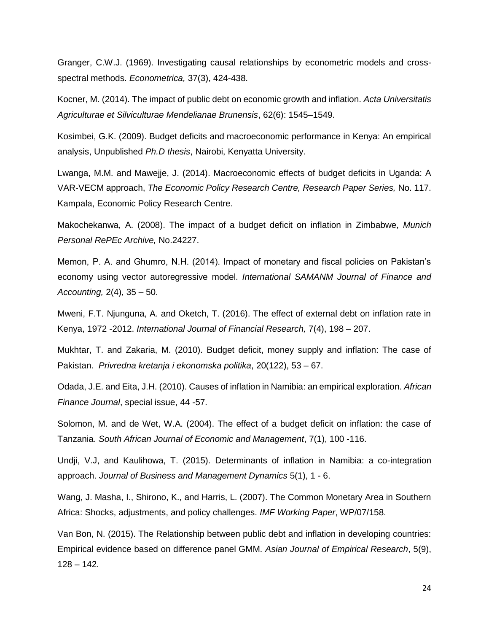Granger, C.W.J. (1969). Investigating causal relationships by econometric models and crossspectral methods. *Econometrica,* 37(3), 424-438.

Kocner, M. (2014). The impact of public debt on economic growth and inflation. *Acta Universitatis Agriculturae et Silviculturae Mendelianae Brunensis*, 62(6): 1545–1549.

Kosimbei, G.K. (2009). Budget deficits and macroeconomic performance in Kenya: An empirical analysis, Unpublished *Ph.D thesis*, Nairobi, Kenyatta University.

Lwanga, M.M. and Mawejje, J. (2014). Macroeconomic effects of budget deficits in Uganda: A VAR-VECM approach, *The Economic Policy Research Centre, Research Paper Series,* No. 117. Kampala, Economic Policy Research Centre.

Makochekanwa, A. (2008). The impact of a budget deficit on inflation in Zimbabwe, *Munich Personal RePEc Archive,* No.24227.

Memon, P. A. and Ghumro, N.H. (2014). Impact of monetary and fiscal policies on Pakistan's economy using vector autoregressive model. *International SAMANM Journal of Finance and Accounting,* 2(4), 35 – 50.

Mweni, F.T. Njunguna, A. and Oketch, T. (2016). The effect of external debt on inflation rate in Kenya, 1972 -2012. *International Journal of Financial Research,* 7(4), 198 – 207.

Mukhtar, T. and Zakaria, M. (2010). Budget deficit, money supply and inflation: The case of Pakistan. *Privredna kretanja i ekonomska politika*, 20(122), 53 – 67.

Odada, J.E. and Eita, J.H. (2010). Causes of inflation in Namibia: an empirical exploration. *African Finance Journal*, special issue, 44 -57.

Solomon, M. and de Wet, W.A. (2004). The effect of a budget deficit on inflation: the case of Tanzania. *South African Journal of Economic and Management*, 7(1), 100 -116.

Undji, V.J, and Kaulihowa, T. (2015). Determinants of inflation in Namibia: a co-integration approach. *Journal of Business and Management Dynamics* 5(1), 1 - 6.

Wang, J. Masha, I., Shirono, K., and Harris, L. (2007). The Common Monetary Area in Southern Africa: Shocks, adjustments, and policy challenges. *IMF Working Paper*, WP/07/158.

Van Bon, N. (2015). The Relationship between public debt and inflation in developing countries: Empirical evidence based on difference panel GMM. *Asian Journal of Empirical Research*, 5(9),  $128 - 142.$